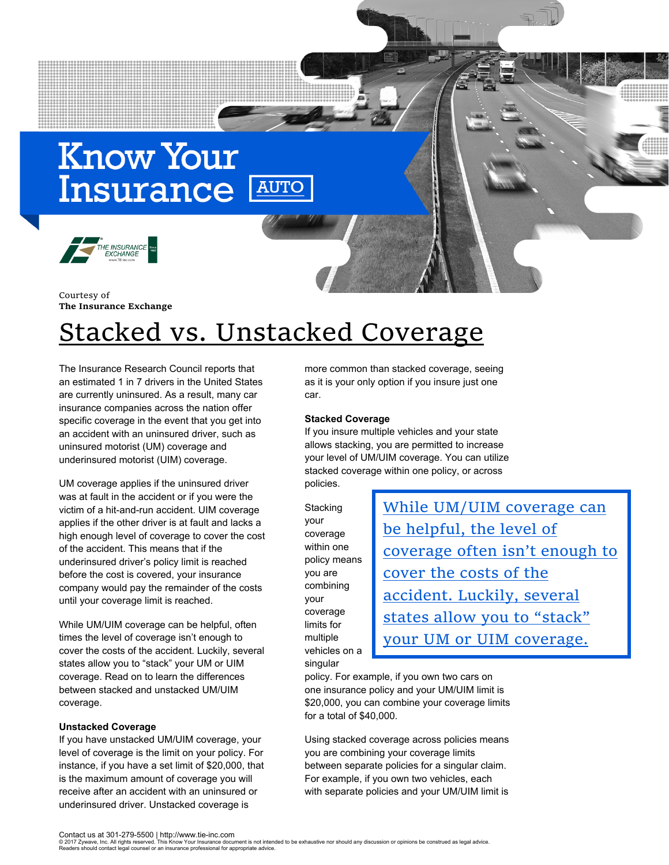# **Know Your Insurance AUTO**



Courtesy of **The Insurance Exchange**

## Stacked vs. Unstacked Coverage

The Insurance Research Council reports that an estimated 1 in 7 drivers in the United States are currently uninsured. As a result, many car insurance companies across the nation offer specific coverage in the event that you get into an accident with an uninsured driver, such as uninsured motorist (UM) coverage and underinsured motorist (UIM) coverage.

UM coverage applies if the uninsured driver was at fault in the accident or if you were the victim of a hit-and-run accident. UIM coverage applies if the other driver is at fault and lacks a high enough level of coverage to cover the cost of the accident. This means that if the underinsured driver's policy limit is reached before the cost is covered, your insurance company would pay the remainder of the costs until your coverage limit is reached.

While UM/UIM coverage can be helpful, often times the level of coverage isn't enough to cover the costs of the accident. Luckily, several states allow you to "stack" your UM or UIM coverage. Read on to learn the differences between stacked and unstacked UM/UIM coverage.

#### **Unstacked Coverage**

If you have unstacked UM/UIM coverage, your level of coverage is the limit on your policy. For instance, if you have a set limit of \$20,000, that is the maximum amount of coverage you will receive after an accident with an uninsured or underinsured driver. Unstacked coverage is

more common than stacked coverage, seeing as it is your only option if you insure just one car.

#### **Stacked Coverage**

If you insure multiple vehicles and your state allows stacking, you are permitted to increase your level of UM/UIM coverage. You can utilize stacked coverage within one policy, or across policies.

**Stacking** your coverage within one policy means you are combining your coverage limits for multiple vehicles on a singular

While UM/UIM coverage can be helpful, the level of coverage often isn't enough to cover the costs of the accident. Luckily, several states allow you to "stack" your UM or UIM coverage.

policy. For example, if you own two cars on one insurance policy and your UM/UIM limit is \$20,000, you can combine your coverage limits for a total of \$40,000.

coverage and coverage and coverage and coverage and coverage and coverage and coverage and coverage and covera<br>Coverage and coverage and coverage and coverage and coverage and coverage and coverage and coverage and covera<br>

Using stacked coverage across policies means you are combining your coverage limits between separate policies for a singular claim. For example, if you own two vehicles, each with separate policies and your UM/UIM limit is

<sup>© 2017</sup> Zywave, Inc. All rights reserved. This Know Your Insurance document is not intended to be exhaustive nor should any discussion or opinions be construed as legal advice.<br>Readers should contact legal counsel or an ins